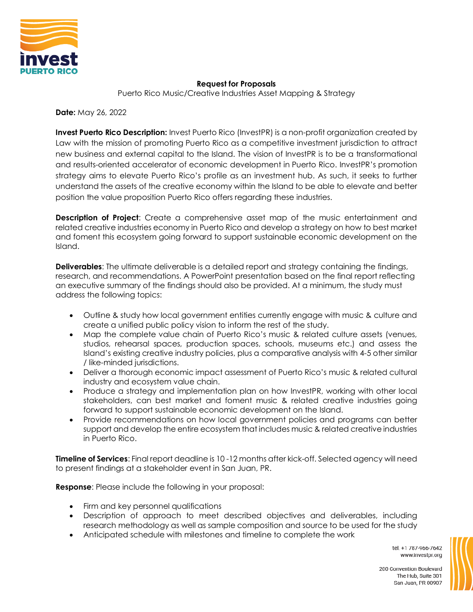

## **Request for Proposals**

Puerto Rico Music/Creative Industries Asset Mapping & Strategy

**Date:** May 26, 2022

**Invest Puerto Rico Description:** Invest Puerto Rico (InvestPR) is a non-profit organization created by Law with the mission of promoting Puerto Rico as a competitive investment jurisdiction to attract new business and external capital to the Island. The vision of InvestPR is to be a transformational and results-oriented accelerator of economic development in Puerto Rico. InvestPR's promotion strategy aims to elevate Puerto Rico's profile as an investment hub. As such, it seeks to further understand the assets of the creative economy within the Island to be able to elevate and better position the value proposition Puerto Rico offers regarding these industries.

**Description of Project**: Create a comprehensive asset map of the music entertainment and related creative industries economy in Puerto Rico and develop a strategy on how to best market and foment this ecosystem going forward to support sustainable economic development on the Island.

**Deliverables**: The ultimate deliverable is a detailed report and strategy containing the findings, research, and recommendations. A PowerPoint presentation based on the final report reflecting an executive summary of the findings should also be provided. At a minimum, the study must address the following topics:

- Outline & study how local government entities currently engage with music & culture and create a unified public policy vision to inform the rest of the study.
- Map the complete value chain of Puerto Rico's music & related culture assets (venues, studios, rehearsal spaces, production spaces, schools, museums etc.) and assess the Island's existing creative industry policies, plus a comparative analysis with 4-5 other similar / like-minded jurisdictions.
- Deliver a thorough economic impact assessment of Puerto Rico's music & related cultural industry and ecosystem value chain.
- Produce a strategy and implementation plan on how InvestPR, working with other local stakeholders, can best market and foment music & related creative industries going forward to support sustainable economic development on the Island.
- Provide recommendations on how local government policies and programs can better support and develop the entire ecosystem that includes music & related creative industries in Puerto Rico.

**Timeline of Services**: Final report deadline is 10 -12 months after kick-off. Selected agency will need to present findings at a stakeholder event in San Juan, PR.

**Response**: Please include the following in your proposal:

- Firm and key personnel qualifications
- Description of approach to meet described objectives and deliverables, including research methodology as well as sample composition and source to be used for the study
- Anticipated schedule with milestones and timeline to complete the work

tel. +1 787-966-7642 www.investpr.org



200 Convention Boulevard The Hub, Suite 301 San Juan, PR 00907